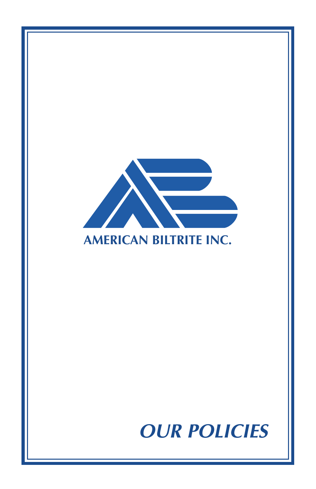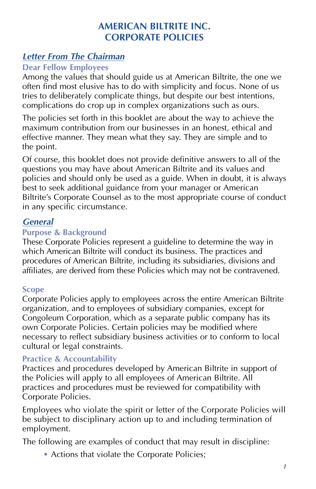# **AMERICAN BILTRITE INC. CORPORATE POLICIES**

# **Letter From The Chairman**

### **Dear Fellow Employees**

Among the values that should guide us at American Biltrite, the one we often find most elusive has to do with simplicity and focus. None of us tries to deliberately complicate things, but despite our best intentions, complications do crop up in complex organizations such as ours.

The policies set forth in this booklet are about the way to achieve the maximum contribution from our businesses in an honest, ethical and effective manner. They mean what they say. They are simple and to the point.

Of course, this booklet does not provide definitive answers to all of the questions you may have about American Biltrite and its values and policies and should only be used as a guide. When in doubt, it is always best to seek additional guidance from your manager or American Biltrite's Corporate Counsel as to the most appropriate course of conduct in any specific circumstance.

# **General**

### **Purpose & Background**

These Corporate Policies represent a guideline to determine the way in which American Biltrite will conduct its business. The practices and procedures of American Biltrite, including its subsidiaries, divisions and affiliates, are derived from these Policies which may not be contravened.

### **Scope**

Corporate Policies apply to employees across the entire American Biltrite organization, and to employees of subsidiary companies, except for Congoleum Corporation, which as a separate public company has its own Corporate Policies. Certain policies may be modified where necessary to reflect subsidiary business activities or to conform to local cultural or legal constraints.

### **Practice & Accountability**

Practices and procedures developed by American Biltrite in support of the Policies will apply to all employees of American Biltrite. All practices and procedures must be reviewed for compatibility with Corporate Policies.

Employees who violate the spirit or letter of the Corporate Policies will be subject to disciplinary action up to and including termination of employment.

The following are examples of conduct that may result in discipline:

• Actions that violate the Corporate Policies;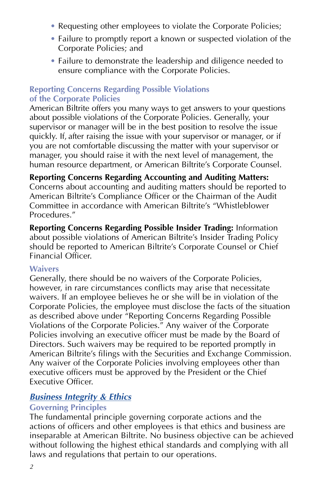- Requesting other employees to violate the Corporate Policies;
- Failure to promptly report a known or suspected violation of the Corporate Policies; and
- Failure to demonstrate the leadership and diligence needed to ensure compliance with the Corporate Policies.

### **Reporting Concerns Regarding Possible Violations of the Corporate Policies**

American Biltrite offers you many ways to get answers to your questions about possible violations of the Corporate Policies. Generally, your supervisor or manager will be in the best position to resolve the issue quickly. If, after raising the issue with your supervisor or manager, or if you are not comfortable discussing the matter with your supervisor or manager, you should raise it with the next level of management, the human resource department, or American Biltrite's Corporate Counsel.

## **Reporting Concerns Regarding Accounting and Auditing Matters:**

Concerns about accounting and auditing matters should be reported to American Biltrite's Compliance Officer or the Chairman of the Audit Committee in accordance with American Biltrite's "Whistleblower Procedures<sup>"</sup>

**Reporting Concerns Regarding Possible Insider Trading:** Information about possible violations of American Biltrite's Insider Trading Policy should be reported to American Biltrite's Corporate Counsel or Chief Financial Officer.

### **Waivers**

Generally, there should be no waivers of the Corporate Policies, however, in rare circumstances conflicts may arise that necessitate waivers. If an employee believes he or she will be in violation of the Corporate Policies, the employee must disclose the facts of the situation as described above under "Reporting Concerns Regarding Possible Violations of the Corporate Policies." Any waiver of the Corporate Policies involving an executive officer must be made by the Board of Directors. Such waivers may be required to be reported promptly in American Biltrite's filings with the Securities and Exchange Commission. Any waiver of the Corporate Policies involving employees other than executive officers must be approved by the President or the Chief Executive Officer.

# **Business Integrity & Ethics**

### **Governing Principles**

The fundamental principle governing corporate actions and the actions of officers and other employees is that ethics and business are inseparable at American Biltrite. No business objective can be achieved without following the highest ethical standards and complying with all laws and regulations that pertain to our operations.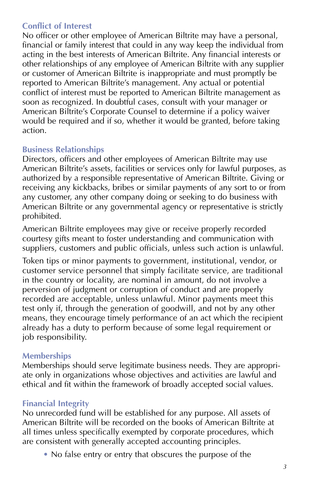## **Conflict of Interest**

No officer or other employee of American Biltrite may have a personal, financial or family interest that could in any way keep the individual from acting in the best interests of American Biltrite. Any financial interests or other relationships of any employee of American Biltrite with any supplier or customer of American Biltrite is inappropriate and must promptly be reported to American Biltrite's management. Any actual or potential conflict of interest must be reported to American Biltrite management as soon as recognized. In doubtful cases, consult with your manager or American Biltrite's Corporate Counsel to determine if a policy waiver would be required and if so, whether it would be granted, before taking action.

### **Business Relationships**

Directors, officers and other employees of American Biltrite may use American Biltrite's assets, facilities or services only for lawful purposes, as authorized by a responsible representative of American Biltrite. Giving or receiving any kickbacks, bribes or similar payments of any sort to or from any customer, any other company doing or seeking to do business with American Biltrite or any governmental agency or representative is strictly prohibited.

American Biltrite employees may give or receive properly recorded courtesy gifts meant to foster understanding and communication with suppliers, customers and public officials, unless such action is unlawful.

Token tips or minor payments to government, institutional, vendor, or customer service personnel that simply facilitate service, are traditional in the country or locality, are nominal in amount, do not involve a perversion of judgment or corruption of conduct and are properly recorded are acceptable, unless unlawful. Minor payments meet this test only if, through the generation of goodwill, and not by any other means, they encourage timely performance of an act which the recipient already has a duty to perform because of some legal requirement or job responsibility.

### **Memberships**

Memberships should serve legitimate business needs. They are appropriate only in organizations whose objectives and activities are lawful and ethical and fit within the framework of broadly accepted social values.

# **Financial Integrity**

No unrecorded fund will be established for any purpose. All assets of American Biltrite will be recorded on the books of American Biltrite at all times unless specifically exempted by corporate procedures, which are consistent with generally accepted accounting principles.

• No false entry or entry that obscures the purpose of the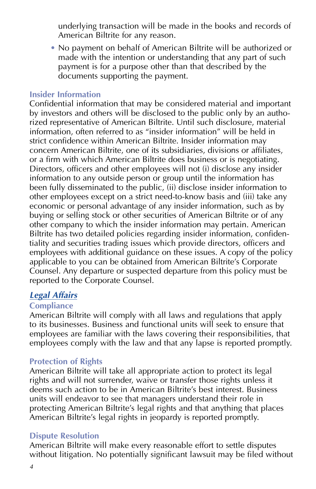underlying transaction will be made in the books and records of American Biltrite for any reason.

• No payment on behalf of American Biltrite will be authorized or made with the intention or understanding that any part of such payment is for a purpose other than that described by the documents supporting the payment.

#### **Insider Information**

Confidential information that may be considered material and important by investors and others will be disclosed to the public only by an authorized representative of American Biltrite. Until such disclosure, material information, often referred to as "insider information" will be held in strict confidence within American Biltrite. Insider information may concern American Biltrite, one of its subsidiaries, divisions or affiliates, or a firm with which American Biltrite does business or is negotiating. Directors, officers and other employees will not (i) disclose any insider information to any outside person or group until the information has been fully disseminated to the public, (ii) disclose insider information to other employees except on a strict need-to-know basis and (iii) take any economic or personal advantage of any insider information, such as by buying or selling stock or other securities of American Biltrite or of any other company to which the insider information may pertain. American Biltrite has two detailed policies regarding insider information, confidentiality and securities trading issues which provide directors, officers and employees with additional guidance on these issues. A copy of the policy applicable to you can be obtained from American Biltrite's Corporate Counsel. Any departure or suspected departure from this policy must be reported to the Corporate Counsel.

# **Legal Affairs**

### **Compliance**

American Biltrite will comply with all laws and regulations that apply to its businesses. Business and functional units will seek to ensure that employees are familiar with the laws covering their responsibilities, that employees comply with the law and that any lapse is reported promptly.

### **Protection of Rights**

American Biltrite will take all appropriate action to protect its legal rights and will not surrender, waive or transfer those rights unless it deems such action to be in American Biltrite's best interest. Business units will endeavor to see that managers understand their role in protecting American Biltrite's legal rights and that anything that places American Biltrite's legal rights in jeopardy is reported promptly.

#### **Dispute Resolution**

American Biltrite will make every reasonable effort to settle disputes without litigation. No potentially significant lawsuit may be filed without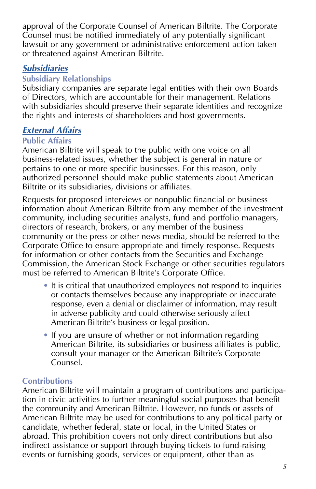approval of the Corporate Counsel of American Biltrite. The Corporate Counsel must be notified immediately of any potentially significant lawsuit or any government or administrative enforcement action taken or threatened against American Biltrite.

# **Subsidiaries**

### **Subsidiary Relationships**

Subsidiary companies are separate legal entities with their own Boards of Directors, which are accountable for their management. Relations with subsidiaries should preserve their separate identities and recognize the rights and interests of shareholders and host governments.

## **External Affairs**

#### **Public Affairs**

American Biltrite will speak to the public with one voice on all business-related issues, whether the subject is general in nature or pertains to one or more specific businesses. For this reason, only authorized personnel should make public statements about American Biltrite or its subsidiaries, divisions or affiliates.

Requests for proposed interviews or nonpublic financial or business information about American Biltrite from any member of the investment community, including securities analysts, fund and portfolio managers, directors of research, brokers, or any member of the business community or the press or other news media, should be referred to the Corporate Office to ensure appropriate and timely response. Requests for information or other contacts from the Securities and Exchange Commission, the American Stock Exchange or other securities regulators must be referred to American Biltrite's Corporate Office.

- It is critical that unauthorized employees not respond to inquiries or contacts themselves because any inappropriate or inaccurate response, even a denial or disclaimer of information, may result in adverse publicity and could otherwise seriously affect American Biltrite's business or legal position.
- If you are unsure of whether or not information regarding American Biltrite, its subsidiaries or business affiliates is public, consult your manager or the American Biltrite's Corporate Counsel.

#### **Contributions**

American Biltrite will maintain a program of contributions and participation in civic activities to further meaningful social purposes that benefit the community and American Biltrite. However, no funds or assets of American Biltrite may be used for contributions to any political party or candidate, whether federal, state or local, in the United States or abroad. This prohibition covers not only direct contributions but also indirect assistance or support through buying tickets to fund-raising events or furnishing goods, services or equipment, other than as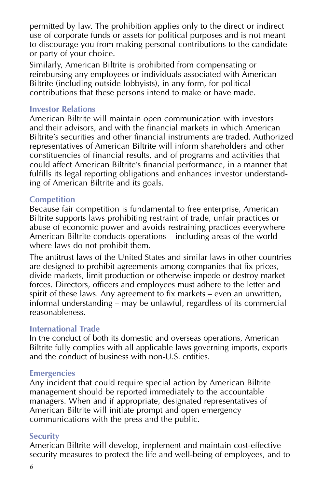permitted by law. The prohibition applies only to the direct or indirect use of corporate funds or assets for political purposes and is not meant to discourage you from making personal contributions to the candidate or party of your choice.

Similarly, American Biltrite is prohibited from compensating or reimbursing any employees or individuals associated with American Biltrite (including outside lobbyists), in any form, for political contributions that these persons intend to make or have made.

#### **Investor Relations**

American Biltrite will maintain open communication with investors and their advisors, and with the financial markets in which American Biltrite's securities and other financial instruments are traded. Authorized representatives of American Biltrite will inform shareholders and other constituencies of financial results, and of programs and activities that could affect American Biltrite's financial performance, in a manner that fulfills its legal reporting obligations and enhances investor understanding of American Biltrite and its goals.

### **Competition**

Because fair competition is fundamental to free enterprise, American Biltrite supports laws prohibiting restraint of trade, unfair practices or abuse of economic power and avoids restraining practices everywhere American Biltrite conducts operations – including areas of the world where laws do not prohibit them.

The antitrust laws of the United States and similar laws in other countries are designed to prohibit agreements among companies that fix prices, divide markets, limit production or otherwise impede or destroy market forces. Directors, officers and employees must adhere to the letter and spirit of these laws. Any agreement to fix markets – even an unwritten, informal understanding – may be unlawful, regardless of its commercial reasonableness.

#### **International Trade**

In the conduct of both its domestic and overseas operations, American Biltrite fully complies with all applicable laws governing imports, exports and the conduct of business with non-U.S. entities.

#### **Emergencies**

Any incident that could require special action by American Biltrite management should be reported immediately to the accountable managers. When and if appropriate, designated representatives of American Biltrite will initiate prompt and open emergency communications with the press and the public.

#### **Security**

American Biltrite will develop, implement and maintain cost-effective security measures to protect the life and well-being of employees, and to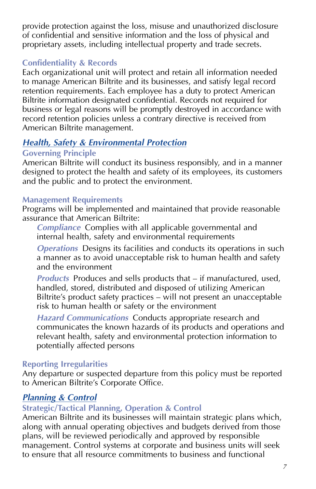provide protection against the loss, misuse and unauthorized disclosure of confidential and sensitive information and the loss of physical and proprietary assets, including intellectual property and trade secrets.

## **Confidentiality & Records**

Each organizational unit will protect and retain all information needed to manage American Biltrite and its businesses, and satisfy legal record retention requirements. Each employee has a duty to protect American Biltrite information designated confidential. Records not required for business or legal reasons will be promptly destroyed in accordance with record retention policies unless a contrary directive is received from American Biltrite management.

# **Health, Safety & Environmental Protection**

# **Governing Principle**

American Biltrite will conduct its business responsibly, and in a manner designed to protect the health and safety of its employees, its customers and the public and to protect the environment.

## **Management Requirements**

Programs will be implemented and maintained that provide reasonable assurance that American Biltrite:

**Compliance** Complies with all applicable governmental and internal health, safety and environmental requirements

**Operations** Designs its facilities and conducts its operations in such a manner as to avoid unacceptable risk to human health and safety and the environment

**Products** Produces and sells products that – if manufactured, used, handled, stored, distributed and disposed of utilizing American Biltrite's product safety practices – will not present an unacceptable risk to human health or safety or the environment

**Hazard Communications** Conducts appropriate research and communicates the known hazards of its products and operations and relevant health, safety and environmental protection information to potentially affected persons

# **Reporting Irregularities**

Any departure or suspected departure from this policy must be reported to American Biltrite's Corporate Office.

# **Planning & Control**

# **Strategic/Tactical Planning, Operation & Control**

American Biltrite and its businesses will maintain strategic plans which, along with annual operating objectives and budgets derived from those plans, will be reviewed periodically and approved by responsible management. Control systems at corporate and business units will seek to ensure that all resource commitments to business and functional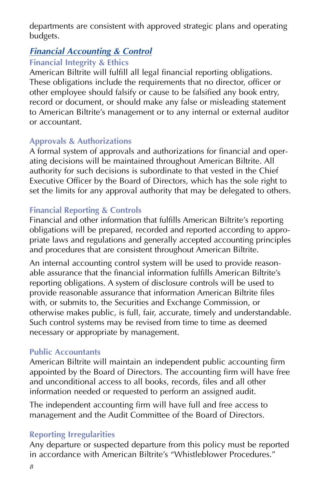departments are consistent with approved strategic plans and operating budgets.

# **Financial Accounting & Control**

# **Financial Integrity & Ethics**

American Biltrite will fulfill all legal financial reporting obligations. These obligations include the requirements that no director, officer or other employee should falsify or cause to be falsified any book entry, record or document, or should make any false or misleading statement to American Biltrite's management or to any internal or external auditor or accountant.

# **Approvals & Authorizations**

A formal system of approvals and authorizations for financial and operating decisions will be maintained throughout American Biltrite. All authority for such decisions is subordinate to that vested in the Chief Executive Officer by the Board of Directors, which has the sole right to set the limits for any approval authority that may be delegated to others.

# **Financial Reporting & Controls**

Financial and other information that fulfills American Biltrite's reporting obligations will be prepared, recorded and reported according to appropriate laws and regulations and generally accepted accounting principles and procedures that are consistent throughout American Biltrite.

An internal accounting control system will be used to provide reasonable assurance that the financial information fulfills American Biltrite's reporting obligations. A system of disclosure controls will be used to provide reasonable assurance that information American Biltrite files with, or submits to, the Securities and Exchange Commission, or otherwise makes public, is full, fair, accurate, timely and understandable. Such control systems may be revised from time to time as deemed necessary or appropriate by management.

# **Public Accountants**

American Biltrite will maintain an independent public accounting firm appointed by the Board of Directors. The accounting firm will have free and unconditional access to all books, records, files and all other information needed or requested to perform an assigned audit.

The independent accounting firm will have full and free access to management and the Audit Committee of the Board of Directors.

# **Reporting Irregularities**

Any departure or suspected departure from this policy must be reported in accordance with American Biltrite's "Whistleblower Procedures."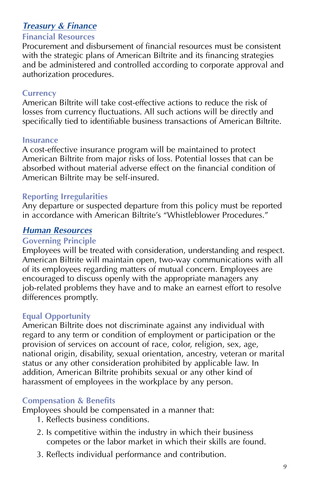# **Treasury & Finance**

#### **Financial Resources**

Procurement and disbursement of financial resources must be consistent with the strategic plans of American Biltrite and its financing strategies and be administered and controlled according to corporate approval and authorization procedures.

#### **Currency**

American Biltrite will take cost-effective actions to reduce the risk of losses from currency fluctuations. All such actions will be directly and specifically tied to identifiable business transactions of American Biltrite.

#### **Insurance**

A cost-effective insurance program will be maintained to protect American Biltrite from major risks of loss. Potential losses that can be absorbed without material adverse effect on the financial condition of American Biltrite may be self-insured.

### **Reporting Irregularities**

Any departure or suspected departure from this policy must be reported in accordance with American Biltrite's "Whistleblower Procedures."

### **Human Resources**

#### **Governing Principle**

Employees will be treated with consideration, understanding and respect. American Biltrite will maintain open, two-way communications with all of its employees regarding matters of mutual concern. Employees are encouraged to discuss openly with the appropriate managers any job-related problems they have and to make an earnest effort to resolve differences promptly.

#### **Equal Opportunity**

American Biltrite does not discriminate against any individual with regard to any term or condition of employment or participation or the provision of services on account of race, color, religion, sex, age, national origin, disability, sexual orientation, ancestry, veteran or marital status or any other consideration prohibited by applicable law. In addition, American Biltrite prohibits sexual or any other kind of harassment of employees in the workplace by any person.

#### **Compensation & Benefits**

Employees should be compensated in a manner that:

- 1. Reflects business conditions.
- 2. Is competitive within the industry in which their business competes or the labor market in which their skills are found.
- 3. Reflects individual performance and contribution.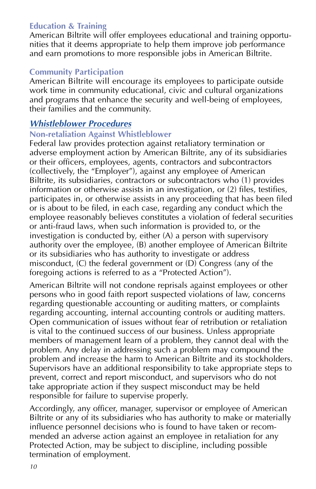## **Education & Training**

American Biltrite will offer employees educational and training opportunities that it deems appropriate to help them improve job performance and earn promotions to more responsible jobs in American Biltrite.

## **Community Participation**

American Biltrite will encourage its employees to participate outside work time in community educational, civic and cultural organizations and programs that enhance the security and well-being of employees, their families and the community.

## **Whistleblower Procedures**

### **Non-retaliation Against Whistleblower**

Federal law provides protection against retaliatory termination or adverse employment action by American Biltrite, any of its subsidiaries or their officers, employees, agents, contractors and subcontractors (collectively, the "Employer"), against any employee of American Biltrite, its subsidiaries, contractors or subcontractors who (1) provides information or otherwise assists in an investigation, or (2) files, testifies, participates in, or otherwise assists in any proceeding that has been filed or is about to be filed, in each case, regarding any conduct which the employee reasonably believes constitutes a violation of federal securities or anti-fraud laws, when such information is provided to, or the investigation is conducted by, either (A) a person with supervisory authority over the employee, (B) another employee of American Biltrite or its subsidiaries who has authority to investigate or address misconduct, (C) the federal government or (D) Congress (any of the foregoing actions is referred to as a "Protected Action").

American Biltrite will not condone reprisals against employees or other persons who in good faith report suspected violations of law, concerns regarding questionable accounting or auditing matters, or complaints regarding accounting, internal accounting controls or auditing matters. Open communication of issues without fear of retribution or retaliation is vital to the continued success of our business. Unless appropriate members of management learn of a problem, they cannot deal with the problem. Any delay in addressing such a problem may compound the problem and increase the harm to American Biltrite and its stockholders. Supervisors have an additional responsibility to take appropriate steps to prevent, correct and report misconduct, and supervisors who do not take appropriate action if they suspect misconduct may be held responsible for failure to supervise properly.

Accordingly, any officer, manager, supervisor or employee of American Biltrite or any of its subsidiaries who has authority to make or materially influence personnel decisions who is found to have taken or recommended an adverse action against an employee in retaliation for any Protected Action, may be subject to discipline, including possible termination of employment.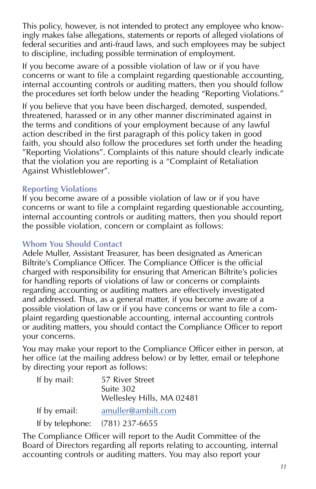This policy, however, is not intended to protect any employee who knowingly makes false allegations, statements or reports of alleged violations of federal securities and anti-fraud laws, and such employees may be subject to discipline, including possible termination of employment.

If you become aware of a possible violation of law or if you have concerns or want to file a complaint regarding questionable accounting, internal accounting controls or auditing matters, then you should follow the procedures set forth below under the heading "Reporting Violations."

If you believe that you have been discharged, demoted, suspended, threatened, harassed or in any other manner discriminated against in the terms and conditions of your employment because of any lawful action described in the first paragraph of this policy taken in good faith, you should also follow the procedures set forth under the heading "Reporting Violations". Complaints of this nature should clearly indicate that the violation you are reporting is a "Complaint of Retaliation Against Whistleblower".

### **Reporting Violations**

If you become aware of a possible violation of law or if you have concerns or want to file a complaint regarding questionable accounting, internal accounting controls or auditing matters, then you should report the possible violation, concern or complaint as follows:

### **Whom You Should Contact**

Adele Muller, Assistant Treasurer, has been designated as American Biltrite's Compliance Officer. The Compliance Officer is the official charged with responsibility for ensuring that American Biltrite's policies for handling reports of violations of law or concerns or complaints regarding accounting or auditing matters are effectively investigated and addressed. Thus, as a general matter, if you become aware of a possible violation of law or if you have concerns or want to file a complaint regarding questionable accounting, internal accounting controls or auditing matters, you should contact the Compliance Officer to report your concerns.

You may make your report to the Compliance Officer either in person, at her office (at the mailing address below) or by letter, email or telephone by directing your report as follows:

| If by mail:  | 57 River Street<br>Suite 302<br>Wellesley Hills, MA 02481 |
|--------------|-----------------------------------------------------------|
| If by email: | amuller@ambilt.com                                        |
|              | If by telephone: $(781)$ 237-6655                         |

The Compliance Officer will report to the Audit Committee of the Board of Directors regarding all reports relating to accounting, internal accounting controls or auditing matters. You may also report your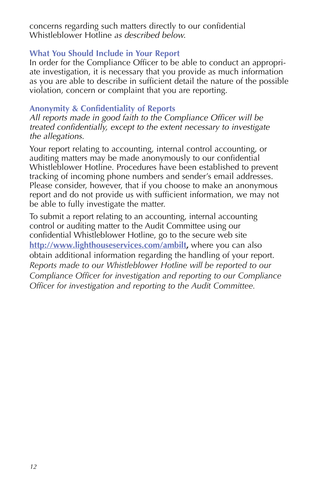concerns regarding such matters directly to our confidential Whistleblower Hotline as described below.

#### **What You Should Include in Your Report**

In order for the Compliance Officer to be able to conduct an appropriate investigation, it is necessary that you provide as much information as you are able to describe in sufficient detail the nature of the possible violation, concern or complaint that you are reporting.

#### **Anonymity & Confidentiality of Reports**

All reports made in good faith to the Compliance Officer will be treated confidentially, except to the extent necessary to investigate the allegations.

Your report relating to accounting, internal control accounting, or auditing matters may be made anonymously to our confidential Whistleblower Hotline. Procedures have been established to prevent tracking of incoming phone numbers and sender's email addresses. Please consider, however, that if you choose to make an anonymous report and do not provide us with sufficient information, we may not be able to fully investigate the matter.

To submit a report relating to an accounting, internal accounting control or auditing matter to the Audit Committee using our confidential Whistleblower Hotline, go to the secure web site **http://www.lighthouseservices.com/ambilt,** where you can also obtain additional information regarding the handling of your report. *Reports made to our Whistleblower Hotline will be reported to our Compliance Officer for investigation and reporting to our Compliance Officer for investigation and reporting to the Audit Committee.*